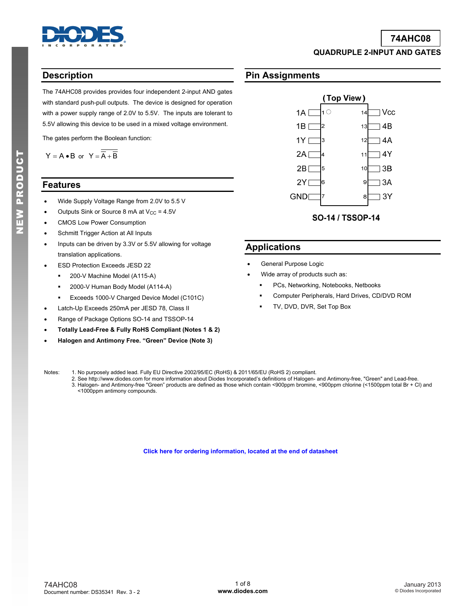

### **74AHC08**

**QUADRUPLE 2-INPUT AND GATES** 

### **Description**

The 74AHC08 provides provides four independent 2-input AND gates with standard push-pull outputs. The device is designed for operation with a power supply range of 2.0V to 5.5V. The inputs are tolerant to 5.5V allowing this device to be used in a mixed voltage environment.

The gates perform the Boolean function:

$$
Y = A \bullet B \text{ or } Y = \overline{A} + \overline{B}
$$

### **Features**

- Wide Supply Voltage Range from 2.0V to 5.5 V
- Outputs Sink or Source 8 mA at  $V_{CC}$  = 4.5V
- CMOS Low Power Consumption
- Schmitt Trigger Action at All Inputs
- Inputs can be driven by 3.3V or 5.5V allowing for voltage translation applications.
- ESD Protection Exceeds JESD 22
	- **200-V Machine Model (A115-A)**
	- 2000-V Human Body Model (A114-A)
	- Exceeds 1000-V Charged Device Model (C101C)
- Latch-Up Exceeds 250mA per JESD 78, Class II
- Range of Package Options SO-14 and TSSOP-14
- **Totally Lead-Free & Fully RoHS Compliant (Notes 1 & 2)**
- **Halogen and Antimony Free. "Green" Device (Note 3)**

### **Pin Assignments**



SO-14 / TSSOP-14

### **Applications**

- General Purpose Logic
- Wide array of products such as:
	- PCs, Networking, Notebooks, Netbooks
	- Computer Peripherals, Hard Drives, CD/DVD ROM
	- TV, DVD, DVR, Set Top Box

Notes: 1. No purposely added lead. Fully EU Directive 2002/95/EC (RoHS) & 2011/65/EU (RoHS 2) compliant.

- 2. See [http://www.diodes.com fo](http://www.diodes.com)r more information about Diodes Incorporated's definitions of Halogen- and Antimony-free, "Green" and Lead-free.
- 3. Halogen- and Antimony-free "Green" products are defined as those which contain <900ppm bromine, <900ppm chlorine (<1500ppm total Br + Cl) and <1000ppm antimony compounds.

**[Click here for ordering information, located at the end of datasheet](#page-4-0)**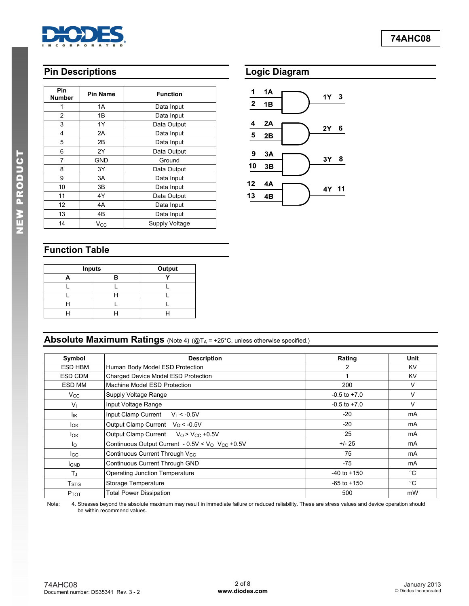

## **Pin Descriptions**

| Pin<br><b>Number</b> | <b>Pin Name</b> | <b>Function</b> |
|----------------------|-----------------|-----------------|
| 1                    | 1A              | Data Input      |
| 2                    | 1B              | Data Input      |
| 3                    | 1Y              | Data Output     |
| 4                    | 2A              | Data Input      |
| 5                    | 2B              | Data Input      |
| 6                    | 2Y              | Data Output     |
| 7                    | GND             | Ground          |
| 8                    | 3Y              | Data Output     |
| 9                    | 3A              | Data Input      |
| 10                   | 3B              | Data Input      |
| 11                   | 4Y              | Data Output     |
| 12                   | 4A              | Data Input      |
| 13                   | 4B              | Data Input      |
| 14                   | $V_{CC}$        | Supply Voltage  |

## **Logic Diagram**



# **Function Table**

| <b>Inputs</b> | Output |  |
|---------------|--------|--|
|               |        |  |
|               |        |  |
|               |        |  |
|               |        |  |
|               |        |  |

## **Absolute Maximum Ratings** (Note 4) (@TA = +25°C, unless otherwise specified.)

| Symbol                 | <b>Description</b>                                             | Rating           | Unit      |
|------------------------|----------------------------------------------------------------|------------------|-----------|
| ESD HBM                | Human Body Model ESD Protection                                | 2                | KV        |
| ESD CDM                | Charged Device Model ESD Protection                            |                  | <b>KV</b> |
| ESD MM                 | Machine Model ESD Protection                                   | 200              | v         |
| $V_{\rm CC}$           | Supply Voltage Range                                           | $-0.5$ to $+7.0$ | V         |
| $V_{\perp}$            | Input Voltage Range                                            | $-0.5$ to $+7.0$ | V         |
| lικ                    | Input Clamp Current<br>$V_1 < -0.5V$                           | $-20$            | mA        |
| <b>I</b> ok            | Output Clamp Current $V_0 < -0.5V$                             | $-20$            | mA        |
| <b>I</b> <sub>OK</sub> | Output Clamp Current $V_Q > V_{CC} +0.5V$                      | 25               | mA        |
| lo.                    | Continuous Output Current - $0.5V < VO$ V <sub>CC</sub> + 0.5V | $+/- 25$         | mA        |
| <b>I</b> cc            | Continuous Current Through V <sub>CC</sub>                     | 75               | mA        |
| <b>I</b> GND           | Continuous Current Through GND                                 |                  | mA        |
| $T_{\rm J}$            | <b>Operating Junction Temperature</b>                          |                  | °C        |
| T <sub>STG</sub>       | Storage Temperature                                            | $-65$ to $+150$  | °C        |
| P <sub>TOT</sub>       | <b>Total Power Dissipation</b>                                 | 500              | mW        |

Note: 4. Stresses beyond the absolute maximum may result in immediate failure or reduced reliability. These are stress values and device operation should be within recommend values.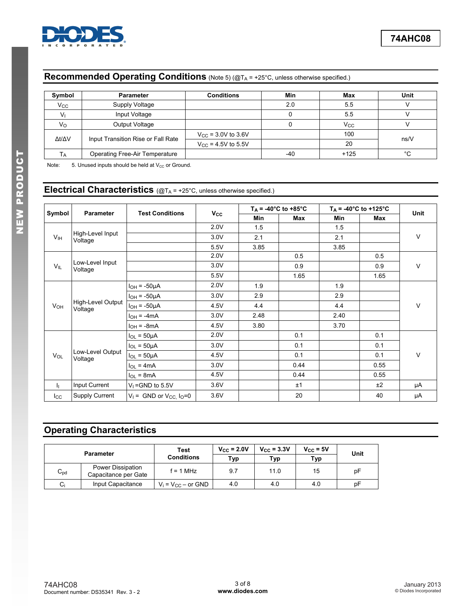

# **Recommended Operating Conditions** (Note 5) (@TA = +25°C, unless otherwise specified.)

| Symbol                | <b>Parameter</b>                      | <b>Conditions</b>              | Min   | Max          | Unit |
|-----------------------|---------------------------------------|--------------------------------|-------|--------------|------|
| <b>V<sub>cc</sub></b> | Supply Voltage                        |                                | 2.0   | 5.5          |      |
| V <sub>1</sub>        | Input Voltage                         |                                |       | 5.5          |      |
| $V_{\rm O}$           | Output Voltage                        |                                |       | $\rm V_{CC}$ |      |
| Δt/ΔV                 | Input Transition Rise or Fall Rate    | $V_{\text{CC}}$ = 3.0V to 3.6V |       | 100          | ns/V |
|                       |                                       | $V_{\text{CC}} = 4.5V$ to 5.5V |       | 20           |      |
| Тд                    | <b>Operating Free-Air Temperature</b> |                                | $-40$ | $+125$       | °C   |

Note:  $5.$  Unused inputs should be held at  $V_{CC}$  or Ground.

### Electrical Characteristics (@T<sub>A</sub> = +25°C, unless otherwise specified.)

|                       |                              | <b>Test Conditions</b>                 |                       |            | $T_A = -40^{\circ}C$ to $+85^{\circ}C$ |            | $T_A = -40^{\circ}C$ to $+125^{\circ}C$ |             |  |
|-----------------------|------------------------------|----------------------------------------|-----------------------|------------|----------------------------------------|------------|-----------------------------------------|-------------|--|
| Symbol                | <b>Parameter</b>             |                                        | <b>V<sub>cc</sub></b> | <b>Min</b> | Max                                    | <b>Min</b> | Max                                     | <b>Unit</b> |  |
|                       |                              |                                        | 2.0V                  | 1.5        |                                        | 1.5        |                                         |             |  |
| V <sub>IH</sub>       | High-Level Input<br>Voltage  |                                        | 3.0V                  | 2.1        |                                        | 2.1        |                                         | $\vee$      |  |
|                       |                              |                                        | 5.5V                  | 3.85       |                                        | 3.85       |                                         |             |  |
|                       |                              |                                        | 2.0V                  |            | 0.5                                    |            | 0.5                                     |             |  |
| $V_{IL}$              | Low-Level Input<br>Voltage   |                                        | 3.0V                  |            | 0.9                                    |            | 0.9                                     | $\vee$      |  |
|                       |                              |                                        | 5.5V                  |            | 1.65                                   |            | 1.65                                    |             |  |
|                       |                              | $I_{OH}$ = -50 $\mu$ A                 | 2.0V                  | 1.9        |                                        | 1.9        |                                         |             |  |
|                       |                              | $I_{OH} = -50\mu A$                    | 3.0V                  | 2.9        |                                        | 2.9        |                                         | $\vee$      |  |
| <b>V<sub>OH</sub></b> | High-Level Output<br>Voltage | $I_{OH} = -50 \mu A$                   | 4.5V                  | 4.4        |                                        | 4.4        |                                         |             |  |
|                       |                              | $I_{OH} = -4mA$                        | 3.0V                  | 2.48       |                                        | 2.40       |                                         |             |  |
|                       |                              | $I_{OH} = -8mA$                        | 4.5V                  | 3.80       |                                        | 3.70       |                                         |             |  |
|                       |                              | $I_{OL} = 50 \mu A$                    | 2.0V                  |            | 0.1                                    |            | 0.1                                     |             |  |
|                       |                              | $I_{OL} = 50 \mu A$                    | 3.0V                  |            | 0.1                                    |            | 0.1                                     |             |  |
| $V_{OL}$              | Low-Level Output<br>Voltage  | $I_{OL}$ = 50 $\mu$ A                  | 4.5V                  |            | 0.1                                    |            | 0.1                                     | $\vee$      |  |
|                       |                              | $I_{OL} = 4mA$                         | 3.0V                  |            | 0.44                                   |            | 0.55                                    |             |  |
|                       | $I_{OL}$ = 8mA               | 4.5V                                   |                       | 0.44       |                                        | 0.55       |                                         |             |  |
| h.                    | Input Current                | $V_1$ = GND to 5.5V                    | 3.6V                  |            | ±1                                     |            | ±2                                      | μA          |  |
| $_{\rm lcc}$          | <b>Supply Current</b>        | $V_1$ = GND or V <sub>CC</sub> $I_0=0$ | 3.6V                  |            | 20                                     |            | 40                                      | μA          |  |

## **Operating Characteristics**

| <b>Parameter</b> |                                           | <b>Test</b><br><b>Conditions</b> | $V_{CC}$ = 2.0V<br>Typ | $V_{CC}$ = 3.3V<br>Typ | $V_{CC}$ = 5V<br>Typ | Unit |
|------------------|-------------------------------------------|----------------------------------|------------------------|------------------------|----------------------|------|
| $C_{pd}$         | Power Dissipation<br>Capacitance per Gate | f = 1 MHz                        | 9.7                    | 11.0                   | 15                   | рF   |
| $C_i$            | Input Capacitance                         | $V_i = V_{CC} - or GND$          | 4.0                    | 4.0                    | 4.0                  | pF   |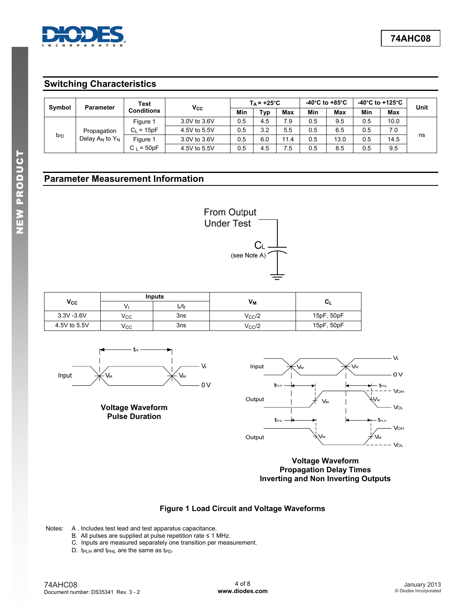

### **Switching Characteristics**

| Symbol | <b>Parameter</b>     | <b>Test</b>       |              | $T_A = +25^{\circ}C$ |     | -40°C to +85°C |     | -40°C to +125°C |     | Unit |    |
|--------|----------------------|-------------------|--------------|----------------------|-----|----------------|-----|-----------------|-----|------|----|
|        |                      | <b>Conditions</b> | <b>Vcc</b>   | Min                  | Typ | Max            | Min | Max             | Min | Max  |    |
|        |                      | Figure 1          | 3.0V to 3.6V | 0.5                  | 4.5 | 7.9            | 0.5 | 9.5             | 0.5 | 10.0 |    |
|        | Propagation          | $C_L = 15pF$      | 4.5V to 5.5V | 0.5                  | 3.2 | 5.5            | 0.5 | 6.5             | 0.5 | 7.0  |    |
| tep    | Delay $A_N$ to $Y_N$ | Figure 1          | 3.0V to 3.6V | 0.5                  | 6.0 | 11.4           | 0.5 | 13.0            | 0.5 | 14.5 | ns |
|        |                      | $= 50pF$<br>Сı    | 4.5V to 5.5V | 0.5                  | 4.5 | 7.5            | 0.5 | 8.5             | 0.5 | 9.5  |    |

### **Parameter Measurement Information**



|               |     | <b>Inputs</b>                  |                 |            |
|---------------|-----|--------------------------------|-----------------|------------|
| $V_{\rm CC}$  |     | t <sub>r</sub> /t <sub>f</sub> | Vм              | ◡          |
| $3.3V - 3.6V$ | Vcc | 3ns                            | $V_{CC}/2$      | 15pF, 50pF |
| 4.5V to 5.5V  | Vcc | 3ns                            | $V_{\rm CC}$ /2 | 15pF, 50pF |



**Voltage Waveform Pulse Duration** 



#### **Voltage Waveform Propagation Delay Times Inverting and Non Inverting Outputs**

### **Figure 1 Load Circuit and Voltage Waveforms**

- Notes: A . Includes test lead and test apparatus capacitance.
- B. All pulses are supplied at pulse repetition rate ≤ 1 MHz.
- C. Inputs are measured separately one transition per measurement.
	- D.  $t_{PLH}$  and  $t_{PHL}$  are the same as  $t_{PD}$ .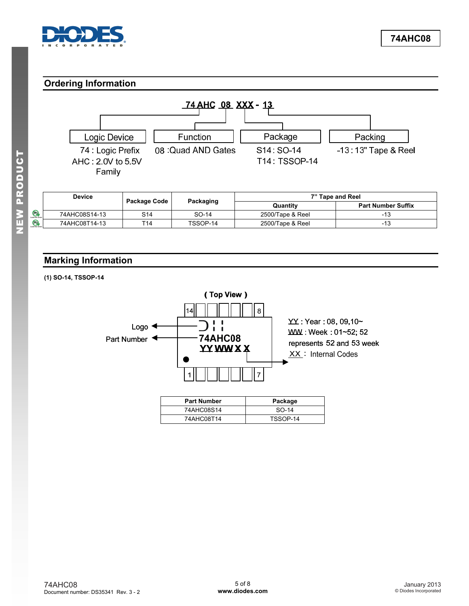<span id="page-4-0"></span>

## **Ordering Information**



## **Marking Information**

**(1) SO-14, TSSOP-14** 



 $P<sub>b</sub>$  $\bigcirc$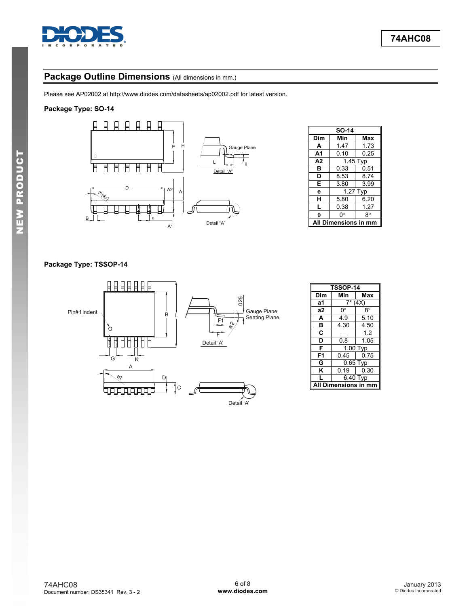

## Package Outline Dimensions (All dimensions in mm.)

Please see AP02002 at [http://www.diodes.com/datasheets/ap02002.pdf fo](http://www.diodes.com/datasheets/ap02002.pdf)r latest version.

#### **Package Type: SO-14**



| <b>SO-14</b> |               |                        |  |  |  |
|--------------|---------------|------------------------|--|--|--|
| Dim          | Min<br>Max    |                        |  |  |  |
| A            | 1.47          | 1.73                   |  |  |  |
| А1           | 0.10          | 0.25                   |  |  |  |
| A2           |               | $\overline{1}$ .45 Typ |  |  |  |
| в            | 0.33          | 0.51                   |  |  |  |
| D            | 8.53          | 8.74                   |  |  |  |
| Е            | 3.80          | 3.99                   |  |  |  |
| ė            |               | $\overline{1}$ .27 Typ |  |  |  |
| н            | 5.80          | 6.20                   |  |  |  |
| L            | 0.38          | 1 27                   |  |  |  |
| θ            | ∩°            | R۰                     |  |  |  |
|              | Dimensions in |                        |  |  |  |

### **Package Type: TSSOP-14**



| <b>TSSOP-14</b> |                  |             |  |  |  |
|-----------------|------------------|-------------|--|--|--|
| Dim             | Max<br>Min       |             |  |  |  |
| а1              | $7^\circ$        | (4X)        |  |  |  |
| a2              | 0°               | $8^{\circ}$ |  |  |  |
| A               | 4.9              | 5.10        |  |  |  |
| в               | 4.30             | 4.50        |  |  |  |
| C               |                  | 1.2         |  |  |  |
| D               | 0.8              | 1.05        |  |  |  |
| F               |                  | 1.00 Typ    |  |  |  |
| F <sub>1</sub>  | 0.75<br>0.45     |             |  |  |  |
| G               | $0.65$ Typ       |             |  |  |  |
| κ               | 0.19             | 0.30        |  |  |  |
|                 | 6.40 Typ         |             |  |  |  |
|                 | Dimensions in mm |             |  |  |  |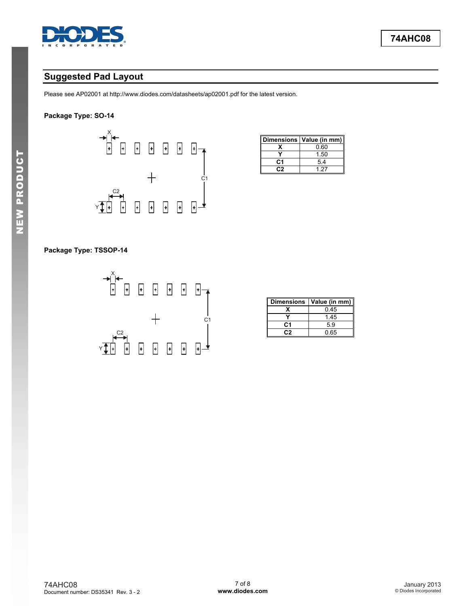

## **Suggested Pad Layout**

Please see AP02001 at [http://www.diodes.com/datasheets/ap02001.pdf fo](http://www.diodes.com/datasheets/ap02001.pdf)r the latest version.

#### **Package Type: SO-14**



|    | Dimensions   Value (in mm) |
|----|----------------------------|
|    | 0.60                       |
|    | 1.50                       |
| C1 | 5.4                        |
|    | 197                        |

#### **Package Type: TSSOP-14**



| Dimensions | Value (in mm) |
|------------|---------------|
|            | 0.45          |
|            | 1.45          |
| C1         | 5.9           |
| r. 2       | 0.65          |